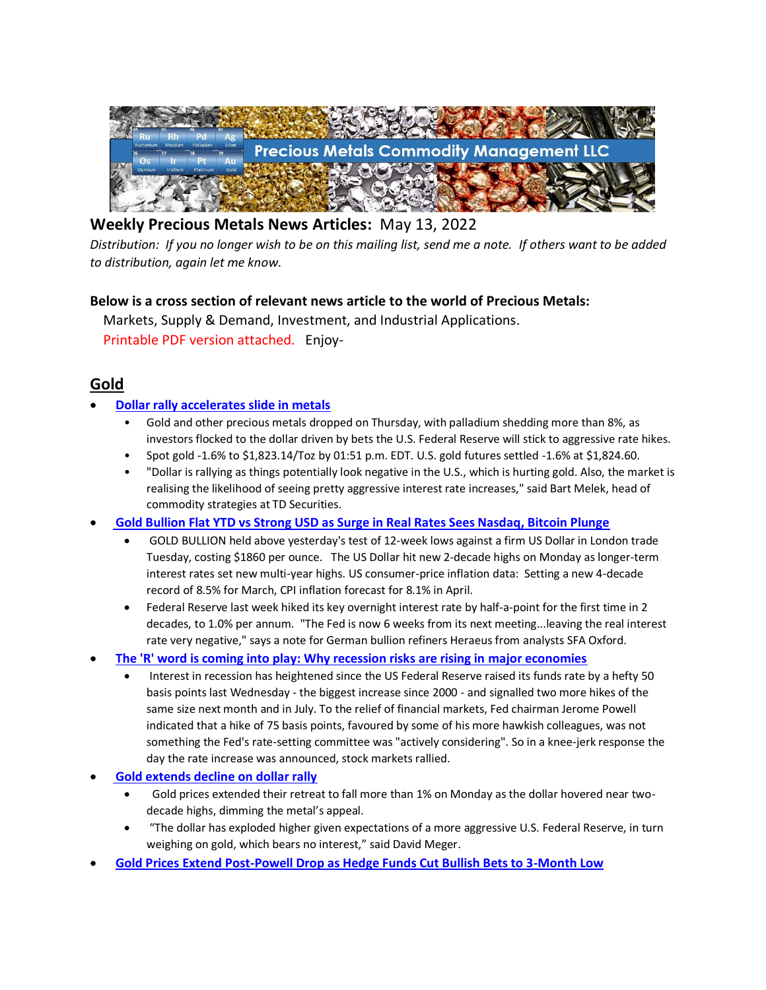

# **Weekly Precious Metals News Articles:** May 13, 2022

*Distribution: If you no longer wish to be on this mailing list, send me a note. If others want to be added to distribution, again let me know.*

#### **Below is a cross section of relevant news article to the world of Precious Metals:**

 Markets, Supply & Demand, Investment, and Industrial Applications. Printable PDF version attached. Enjoy-

## **Gold**

#### • **[Dollar rally accelerates slide in metals](https://www.reuters.com/markets/europe/gold-stabilises-after-rising-1-following-us-inflation-data-2022-05-12/)**

- Gold and other precious metals dropped on Thursday, with palladium shedding more than 8%, as investors flocked to the dollar driven by bets the U.S. Federal Reserve will stick to aggressive rate hikes.
- Spot gold -1.6% to \$1,823.14/Toz by 01:51 p.m. EDT. U.S. gold futures settled -1.6% at \$1,824.60.
- "Dollar is rallying as things potentially look negative in the U.S., which is hurting gold. Also, the market is realising the likelihood of seeing pretty aggressive interest rate increases," said Bart Melek, head of commodity strategies at TD Securities.
- **[Gold Bullion Flat YTD vs Strong USD as Surge in Real Rates Sees Nasdaq, Bitcoin Plunge](https://www.bullionvault.com/gold-news/gold-bullion-051020222)**
	- GOLD BULLION held above yesterday's test of 12-week lows against a firm US Dollar in London trade Tuesday, costing \$1860 per ounce. The US Dollar hit new 2-decade highs on Monday as longer-term interest rates set new multi-year highs. US consumer-price inflation data: Setting a new 4-decade record of 8.5% for March, CPI inflation forecast for 8.1% in April.
	- Federal Reserve last week hiked its key overnight interest rate by half-a-point for the first time in 2 decades, to 1.0% per annum. "The Fed is now 6 weeks from its next meeting...leaving the real interest rate very negative," says a note for German bullion refiners Heraeus from analysts SFA Oxford.
- **[The 'R' word is coming into play: Why recession risks are rising in major economies](https://www.straitstimes.com/opinion/economicaffairs-the-r-word-is-coming-into-play?utm_medium=social&utm_source=linkedin&utm_campaign=stli)**
	- Interest in recession has heightened since the US Federal Reserve raised its funds rate by a hefty 50 basis points last Wednesday - the biggest increase since 2000 - and signalled two more hikes of the same size next month and in July. To the relief of financial markets, Fed chairman Jerome Powell indicated that a hike of 75 basis points, favoured by some of his more hawkish colleagues, was not something the Fed's rate-setting committee was "actively considering". So in a knee-jerk response the day the rate increase was announced, stock markets rallied.
- **[Gold extends decline on dollar rally](https://www.cnbc.com/2022/05/09/gold-markets-dollar-us-treasury-yields.html)**
	- Gold prices extended their retreat to fall more than 1% on Monday as the dollar hovered near twodecade highs, dimming the metal's appeal.
	- "The dollar has exploded higher given expectations of a more aggressive U.S. Federal Reserve, in turn weighing on gold, which bears no interest," said David Meger.
- **[Gold Prices Extend Post-Powell Drop as Hedge Funds Cut Bullish Bets to 3-Month Low](https://www.bullionvault.com/gold-news/gold-prices-050920222)**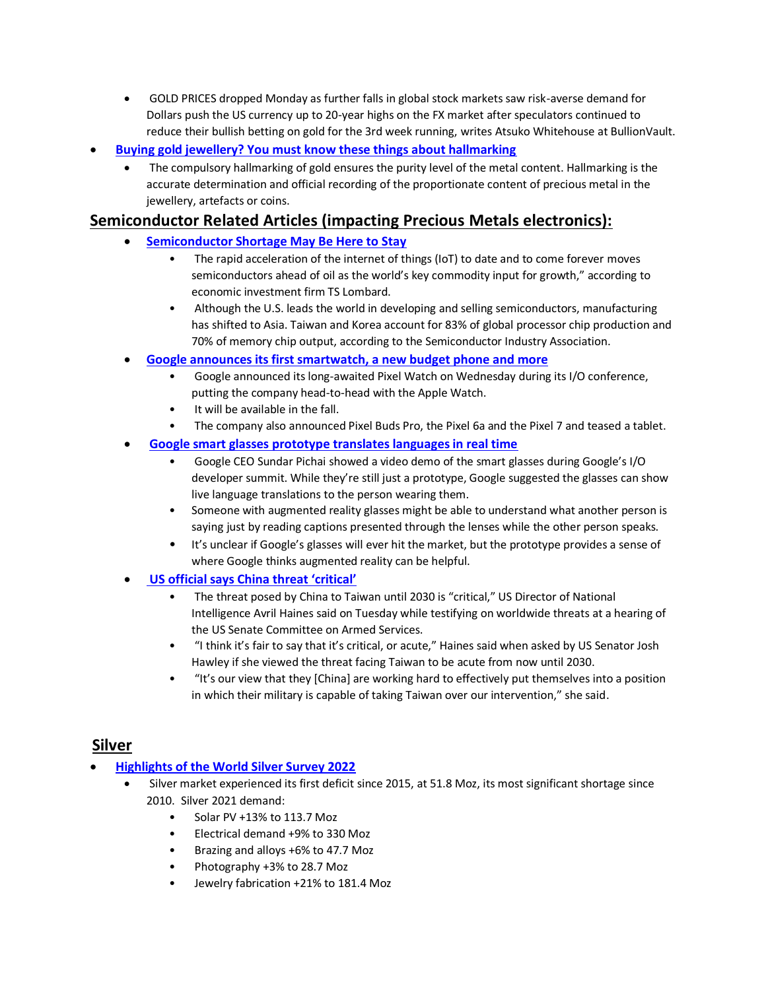- GOLD PRICES dropped Monday as further falls in global stock markets saw risk-averse demand for Dollars push the US currency up to 20-year highs on the FX market after speculators continued to reduce their bullish betting on gold for the 3rd week running, writes Atsuko Whitehouse at BullionVault.
- **[Buying gold jewellery? You must know these things about hallmarking](https://www.timesnownews.com/business-economy/personal-finance/buying-gold-jewellery-you-must-know-these-things-about-hallmarking-article-91481669)**
	- The compulsory hallmarking of gold ensures the purity level of the metal content. Hallmarking is the accurate determination and official recording of the proportionate content of precious metal in the jewellery, artefacts or coins.

## **Semiconductor Related Articles (impacting Precious Metals electronics):**

- **[Semiconductor Shortage May Be Here to Stay](https://devops.com/semiconductor-shortage-may-be-here-to-stay/)**
	- The rapid acceleration of the internet of things (IoT) to date and to come forever moves semiconductors ahead of oil as the world's key commodity input for growth," according to economic investment firm TS Lombard.
	- Although the U.S. leads the world in developing and selling semiconductors, manufacturing has shifted to Asia. Taiwan and Korea account for 83% of global processor chip production and 70% of memory chip output, according to the Semiconductor Industry Association.
- **[Google announces its first smartwatch, a new budget phone and more](https://www.cnbc.com/2022/05/11/google-pixel-watch-pixel-7-pixel-6a-announced.html)**
	- Google announced its long-awaited Pixel Watch on Wednesday during its I/O conference, putting the company head-to-head with the Apple Watch.
	- It will be available in the fall.
	- The company also announced Pixel Buds Pro, the Pixel 6a and the Pixel 7 and teased a tablet.
- **[Google smart glasses prototype translates languages in real time](https://www.cnbc.com/2022/05/11/google-smart-glasses-prototype-translates-languages-in-real-time.html)**
	- Google CEO Sundar Pichai showed a video demo of the smart glasses during Google's I/O developer summit. While they're still just a prototype, Google suggested the glasses can show live language translations to the person wearing them.
	- Someone with augmented reality glasses might be able to understand what another person is saying just by reading captions presented through the lenses while the other person speaks.
	- It's unclear if Google's glasses will ever hit the market, but the prototype provides a sense of where Google thinks augmented reality can be helpful.
- **[US official says China threat 'critical'](https://www.taipeitimes.com/News/front/archives/2022/05/12/2003778087)**
	- The threat posed by China to Taiwan until 2030 is "critical," US Director of National Intelligence Avril Haines said on Tuesday while testifying on worldwide threats at a hearing of the US Senate Committee on Armed Services.
	- "I think it's fair to say that it's critical, or acute," Haines said when asked by US Senator Josh Hawley if she viewed the threat facing Taiwan to be acute from now until 2030.
	- "It's our view that they [China] are working hard to effectively put themselves into a position in which their military is capable of taking Taiwan over our intervention," she said.

## **Silver**

- **[Highlights of the World Silver Survey 2022](https://mexicobusiness.news/mining/news/highlights-world-silver-survey-2022)**
	- Silver market experienced its first deficit since 2015, at 51.8 Moz, its most significant shortage since 2010. Silver 2021 demand:
		- Solar PV +13% to 113.7 Moz
		- Electrical demand +9% to 330 Moz
		- Brazing and alloys +6% to 47.7 Moz
		- Photography +3% to 28.7 Moz
		- Jewelry fabrication +21% to 181.4 Moz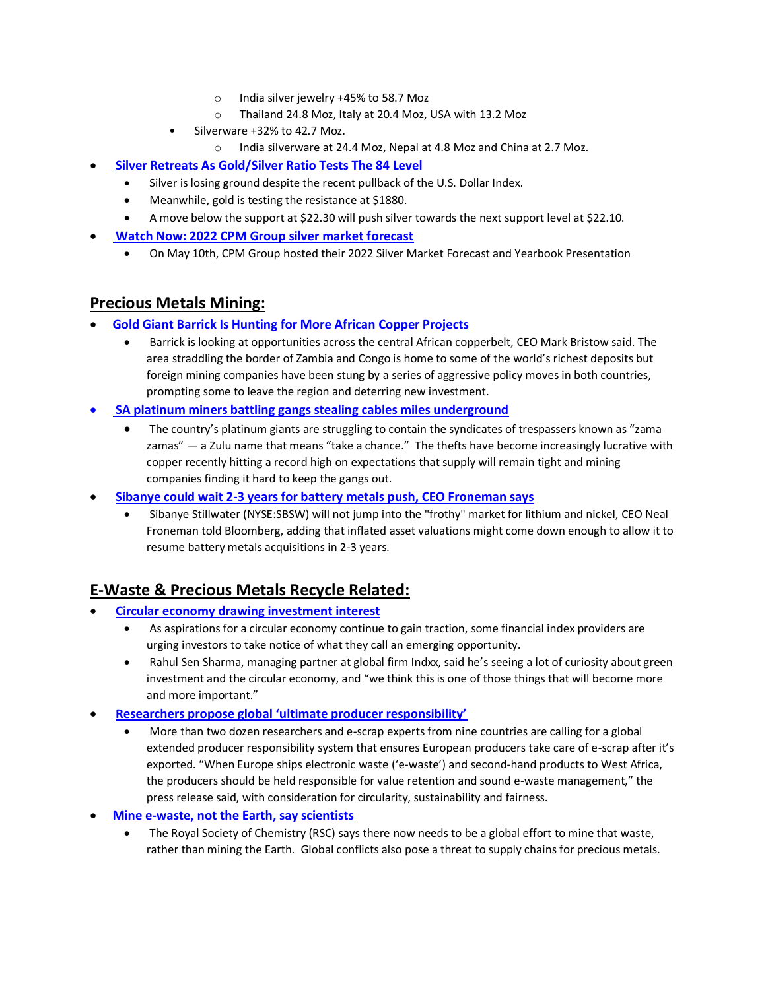- o India silver jewelry +45% to 58.7 Moz
- o Thailand 24.8 Moz, Italy at 20.4 Moz, USA with 13.2 Moz
- Silverware +32% to 42.7 Moz.
	- o India silverware at 24.4 Moz, Nepal at 4.8 Moz and China at 2.7 Moz.
- **[Silver Retreats As Gold/Silver Ratio Tests The 84 Level](https://www.nasdaq.com/articles/silver-retreats-as-gold-silver-ratio-tests-the-84-level)**
	- Silver is losing ground despite the recent pullback of the U.S. Dollar Index.
	- Meanwhile, gold is testing the resistance at \$1880.
	- A move below the support at \$22.30 will push silver towards the next support level at \$22.10.
	- **[Watch Now: 2022 CPM Group silver market forecast](https://www.kitco.com/commentaries/2022-05-11/Watch-Now-2022-CPM-Group-silver-market-forecast.html?utm_campaign=Gold%20price%20on%20%27cusp%27%20of%20%242k%20rally%2C%20here%27s%20how%20not%20to%20miss%20it%20%E2%80%93%20Bloomberg%20Intelligence&utm_content=Kitco%20News%3A%20Daily%20Recap&utm_medium=email&utm_source=kitco)**
		- On May 10th, CPM Group hosted their 2022 Silver Market Forecast and Yearbook Presentation

## **Precious Metals Mining:**

- **[Gold Giant Barrick Is Hunting for More African Copper Projects](https://finance.yahoo.com/news/gold-giant-barrick-hunting-more-101949434.html)**
	- Barrick is looking at opportunities across the central African copperbelt, CEO Mark Bristow said. The area straddling the border of Zambia and Congo is home to some of the world's richest deposits but foreign mining companies have been stung by a series of aggressive policy moves in both countries, prompting some to leave the region and deterring new investment.
- **[SA platinum miners battling gangs stealing cables miles underground](https://www.moneyweb.co.za/mineweb/sa-platinum-miners-battling-gangs-stealing-cables-miles-underground/)**
	- The country's platinum giants are struggling to contain the syndicates of trespassers known as "zama zamas" — a Zulu name that means "take a chance." The thefts have become increasingly lucrative with copper recently hitting a record high on expectations that supply will remain tight and mining companies finding it hard to keep the gangs out.
- **[Sibanye could wait 2-3 years for battery metals push, CEO Froneman says](https://seekingalpha.com/news/3835602-sibanye-could-wait-2-3-years-for-battery-metals-push-ceo-froneman-says)**
	- Sibanye Stillwater (NYSE:SBSW) will not jump into the "frothy" market for lithium and nickel, CEO Neal Froneman told Bloomberg, adding that inflated asset valuations might come down enough to allow it to resume battery metals acquisitions in 2-3 years.

## **E-Waste & Precious Metals Recycle Related:**

- **[Circular economy drawing investment interest](https://resource-recycling.com/e-scrap/2022/05/12/circular-economy-drawing-investment-interest/)**
	- As aspirations for a circular economy continue to gain traction, some financial index providers are urging investors to take notice of what they call an emerging opportunity.
	- Rahul Sen Sharma, managing partner at global firm Indxx, said he's seeing a lot of curiosity about green investment and the circular economy, and "we think this is one of those things that will become more and more important."
- **[Researchers propose global 'ultimate producer responsibility'](https://resource-recycling.com/e-scrap/2022/05/12/researchers-propose-global-ultimate-producer-responsibility/)**
	- More than two dozen researchers and e-scrap experts from nine countries are calling for a global extended producer responsibility system that ensures European producers take care of e-scrap after it's exported. "When Europe ships electronic waste ('e-waste') and second-hand products to West Africa, the producers should be held responsible for value retention and sound e-waste management," the press release said, with consideration for circularity, sustainability and fairness.
- **[Mine e-waste, not the Earth, say scientists](https://news.yahoo.com/mine-e-waste-not-earth-231704472.html)**
	- The Royal Society of Chemistry (RSC) says there now needs to be a global effort to mine that waste, rather than mining the Earth. Global conflicts also pose a threat to supply chains for precious metals.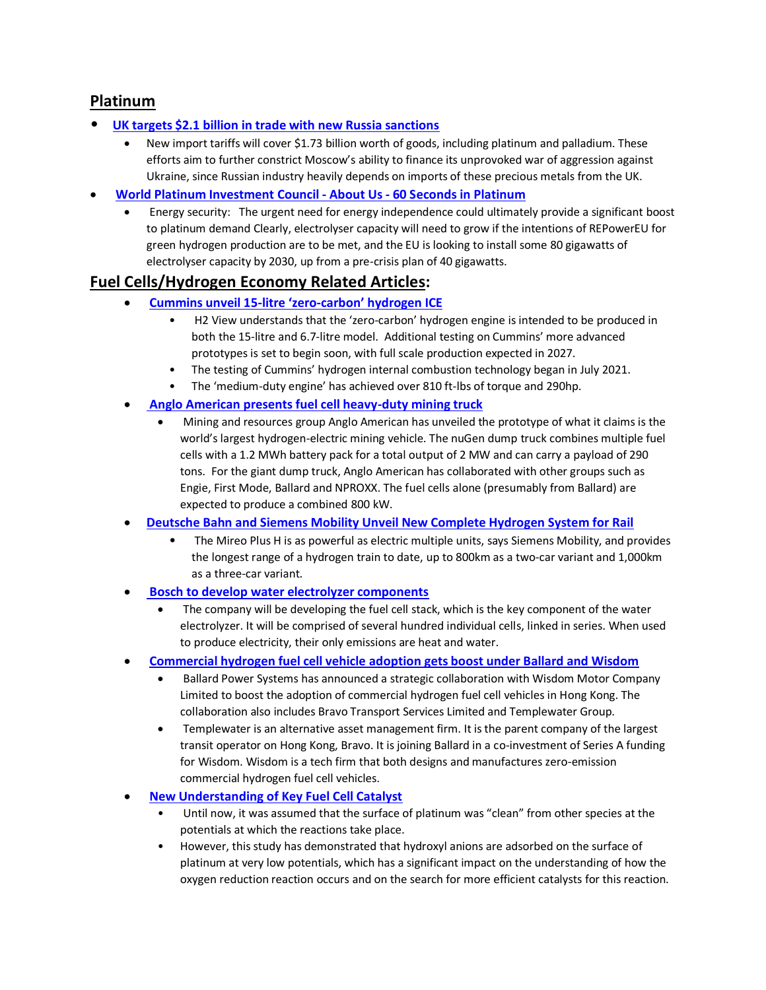## **Platinum**

- **[UK targets \\$2.1 billion in trade with new Russia sanctions](https://news.yahoo.com/uk-targets-2-1-billion-122900744.html)**
	- New import tariffs will cover \$1.73 billion worth of goods, including platinum and palladium. These efforts aim to further constrict Moscow's ability to finance its unprovoked war of aggression against Ukraine, since Russian industry heavily depends on imports of these precious metals from the UK.
- **[World Platinum Investment Council -](https://platinuminvestment.com/files/sixtysecs/WPIC_60seconds__Energy_security_05112022.pdf) About Us - 60 Seconds in Platinum**
	- Energy security: The urgent need for energy independence could ultimately provide a significant boost to platinum demand Clearly, electrolyser capacity will need to grow if the intentions of REPowerEU for green hydrogen production are to be met, and the EU is looking to install some 80 gigawatts of electrolyser capacity by 2030, up from a pre-crisis plan of 40 gigawatts.

## **Fuel Cells/Hydrogen Economy Related Articles:**

- **Cummins unveil 15-litre 'zero-[carbon' hydrogen ICE](https://www.h2-view.com/story/cummins-unveil-15-litre-zero-carbon-hydrogen-ice/?utm_source=dlvr.it&utm_medium=linkedin&utm_campaign=rss)**
	- H2 View understands that the 'zero-carbon' hydrogen engine is intended to be produced in both the 15-litre and 6.7-litre model. Additional testing on Cummins' more advanced prototypes is set to begin soon, with full scale production expected in 2027.
	- The testing of Cummins' hydrogen internal combustion technology began in July 2021.
	- The 'medium-duty engine' has achieved over 810 ft-lbs of torque and 290hp.
- **[Anglo American presents fuel cell heavy-duty mining truck](https://www.electrive.com/2022/05/09/anglo-american-presents-fuel-cell-heavy-duty-mining-truck/)**
	- Mining and resources group Anglo American has unveiled the prototype of what it claims is the world's largest hydrogen-electric mining vehicle. The nuGen dump truck combines multiple fuel cells with a 1.2 MWh battery pack for a total output of 2 MW and can carry a payload of 290 tons. For the giant dump truck, Anglo American has collaborated with other groups such as Engie, First Mode, Ballard and NPROXX. The fuel cells alone (presumably from Ballard) are expected to produce a combined 800 kW.
- **[Deutsche Bahn and Siemens Mobility Unveil New Complete Hydrogen System for Rail](https://railway-news.com/deutsche-bahn-and-siemens-mobility-unveil-new-complete-hydrogen-system-for-rail/)**
	- The Mireo Plus H is as powerful as electric multiple units, says Siemens Mobility, and provides the longest range of a hydrogen train to date, up to 800km as a two-car variant and 1,000km as a three-car variant.
- **[Bosch to develop water electrolyzer components](https://www.hydrogenfuelnews.com/bosch-water-electrolyzer/8552582/)**
	- The company will be developing the fuel cell stack, which is the key component of the water electrolyzer. It will be comprised of several hundred individual cells, linked in series. When used to produce electricity, their only emissions are heat and water.
- **[Commercial hydrogen fuel cell vehicle adoption gets boost under Ballard and Wisdom](https://www.hydrogenfuelnews.com/commercial-hydrogen-fuel-cell/8552609/?)**
	- Ballard Power Systems has announced a strategic collaboration with Wisdom Motor Company Limited to boost the adoption of commercial hydrogen fuel cell vehicles in Hong Kong. The collaboration also includes Bravo Transport Services Limited and Templewater Group.
	- Templewater is an alternative asset management firm. It is the parent company of the largest transit operator on Hong Kong, Bravo. It is joining Ballard in a co-investment of Series A funding for Wisdom. Wisdom is a tech firm that both designs and manufactures zero-emission commercial hydrogen fuel cell vehicles.
- **[New Understanding of Key Fuel Cell Catalyst](https://hydrogen-central.com/understanding-key-fuel-cell-catalyst/)**
	- Until now, it was assumed that the surface of platinum was "clean" from other species at the potentials at which the reactions take place.
	- However, this study has demonstrated that hydroxyl anions are adsorbed on the surface of platinum at very low potentials, which has a significant impact on the understanding of how the oxygen reduction reaction occurs and on the search for more efficient catalysts for this reaction.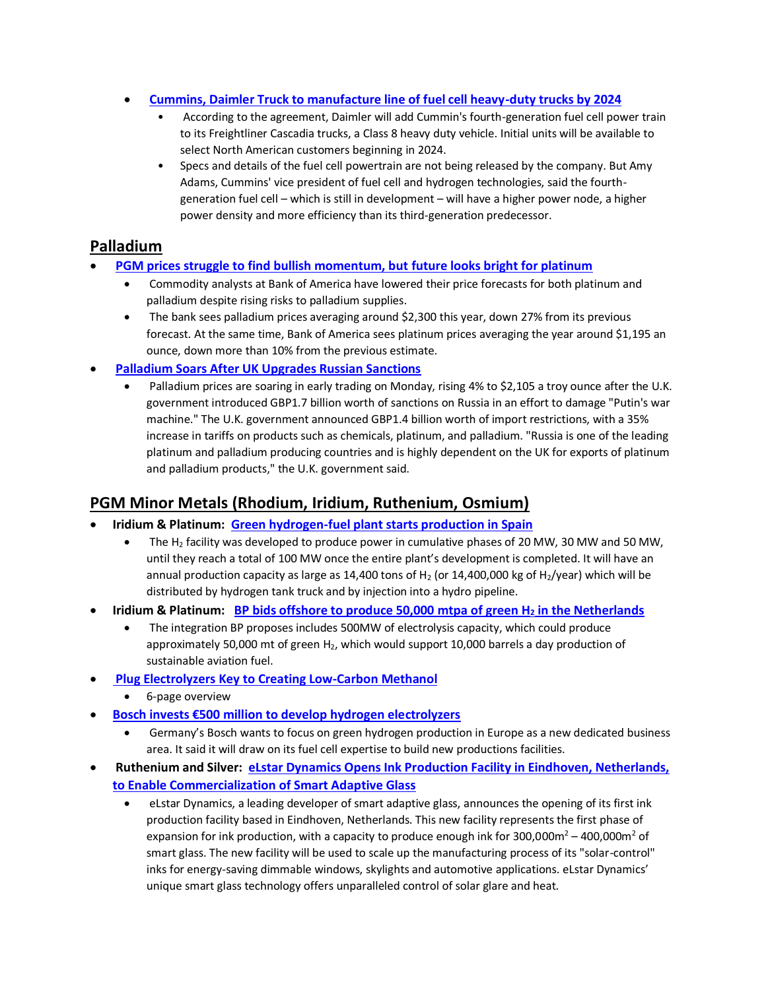- **[Cummins, Daimler Truck to manufacture line of fuel cell heavy-duty trucks by 2024](https://www.spglobal.com/commodityinsights/en/market-insights/latest-news/energy-transition/051122-cummins-daimler-truck-to-manufacture-line-of-fuel-cell-heavy-duty-trucks-by-2024)**
	- According to the agreement, Daimler will add Cummin's fourth-generation fuel cell power train to its Freightliner Cascadia trucks, a Class 8 heavy duty vehicle. Initial units will be available to select North American customers beginning in 2024.
	- Specs and details of the fuel cell powertrain are not being released by the company. But Amy Adams, Cummins' vice president of fuel cell and hydrogen technologies, said the fourthgeneration fuel cell – which is still in development – will have a higher power node, a higher power density and more efficiency than its third-generation predecessor.

#### **Palladium**

- **[PGM prices struggle to find bullish momentum, but](https://www.kitco.com/news/2022-05-11/PGM-prices-struggle-to-find-bullish-momentum-but-future-looks-bright-for-platinum-Bank-of-America.html) future looks bright for platinum**
	- Commodity analysts at Bank of America have lowered their price forecasts for both platinum and palladium despite rising risks to palladium supplies.
	- The bank sees palladium prices averaging around \$2,300 this year, down 27% from its previous forecast. At the same time, Bank of America sees platinum prices averaging the year around \$1,195 an ounce, down more than 10% from the previous estimate.
- **[Palladium Soars After UK Upgrades Russian Sanctions](https://www.morningstar.com/news/dow-jones/202205092098/palladium-soars-after-uk-upgrades-russian-sanctions)**
	- Palladium prices are soaring in early trading on Monday, rising 4% to \$2,105 a troy ounce after the U.K. government introduced GBP1.7 billion worth of sanctions on Russia in an effort to damage "Putin's war machine." The U.K. government announced GBP1.4 billion worth of import restrictions, with a 35% increase in tariffs on products such as chemicals, platinum, and palladium. "Russia is one of the leading platinum and palladium producing countries and is highly dependent on the UK for exports of platinum and palladium products," the U.K. government said.

## **PGM Minor Metals (Rhodium, Iridium, Ruthenium, Osmium)**

- **[Iridium](file:///C:/Users/Matth/Documents/Precious%20Metals%20Commodity%20Management%20LLC/Weekly/Roster%20-%20Precious%20Metals%20Commodity%20Management.xlsx) & Platinum: [Green hydrogen-fuel plant starts production in Spain](https://www.hydrogenfuelnews.com/hydrogen-fuel-spain-galicia/8552593/)**
	- The H<sub>2</sub> facility was developed to produce power in cumulative phases of 20 MW, 30 MW and 50 MW, until they reach a total of 100 MW once the entire plant's development is completed. It will have an annual production capacity as large as 14,400 tons of  $H_2$  (or 14,400,000 kg of  $H_2$ /year) which will be distributed by hydrogen tank truck and by injection into a hydro pipeline.
- **[Iridium](file:///C:/Users/Matth/Documents/Precious%20Metals%20Commodity%20Management%20LLC/Weekly/Roster%20-%20Precious%20Metals%20Commodity%20Management.xlsx) & Platinum: [BP bids offshore to produce 50,000 mtpa](https://www.h2-view.com/story/bp-bids-offshore-to-produce-50000-tonnes-of-green-hydrogen-per-year-in-the-netherlands/?utm_source=dlvr.it&utm_medium=linkedin&utm_campaign=rss) of green H<sup>2</sup> in the Netherlands**
	- The integration BP proposes includes 500MW of electrolysis capacity, which could produce approximately 50,000 mt of green  $H_2$ , which would support 10,000 barrels a day production of sustainable aviation fuel.
- **[Plug Electrolyzers Key to Creating Low-Carbon Methanol](https://www.plugpower.com/wp-content/uploads/2022/05/Electrolyzers_for_Methanol.pdf?&utm_source=organic-social-pr&utm_medium=linkedin&utm_campaign=elx-methanol-paper&utm_term=APR)**
	- 6-page overview
- **[Bosch invests €500 million to develop hydrogen ele](https://www.pv-magazine.com/2022/05/06/bosch-invests-e500-million-to-develop-hydrogen-electrolyzers/)ctrolyzers**
	- Germany's Bosch wants to focus on green hydrogen production in Europe as a new dedicated business area. It said it will draw on its fuel cell expertise to build new productions facilities.
- **Ruthenium and Silver: [eLstar Dynamics Opens Ink Production Facility in Eindhoven, Netherlands,](https://finance.yahoo.com/news/elstar-dynamics-opens-ink-production-120000279.html)  [to Enable Commercialization of Smart Adaptive Glass](https://finance.yahoo.com/news/elstar-dynamics-opens-ink-production-120000279.html)**
	- eLstar Dynamics, a leading developer of smart adaptive glass, announces the opening of its first ink production facility based in Eindhoven, Netherlands. This new facility represents the first phase of expansion for ink production, with a capacity to produce enough ink for  $300,000m^2 - 400,000m^2$  of smart glass. The new facility will be used to scale up the manufacturing process of its "solar-control" inks for energy-saving dimmable windows, skylights and automotive applications. eLstar Dynamics' unique smart glass technology offers unparalleled control of solar glare and heat.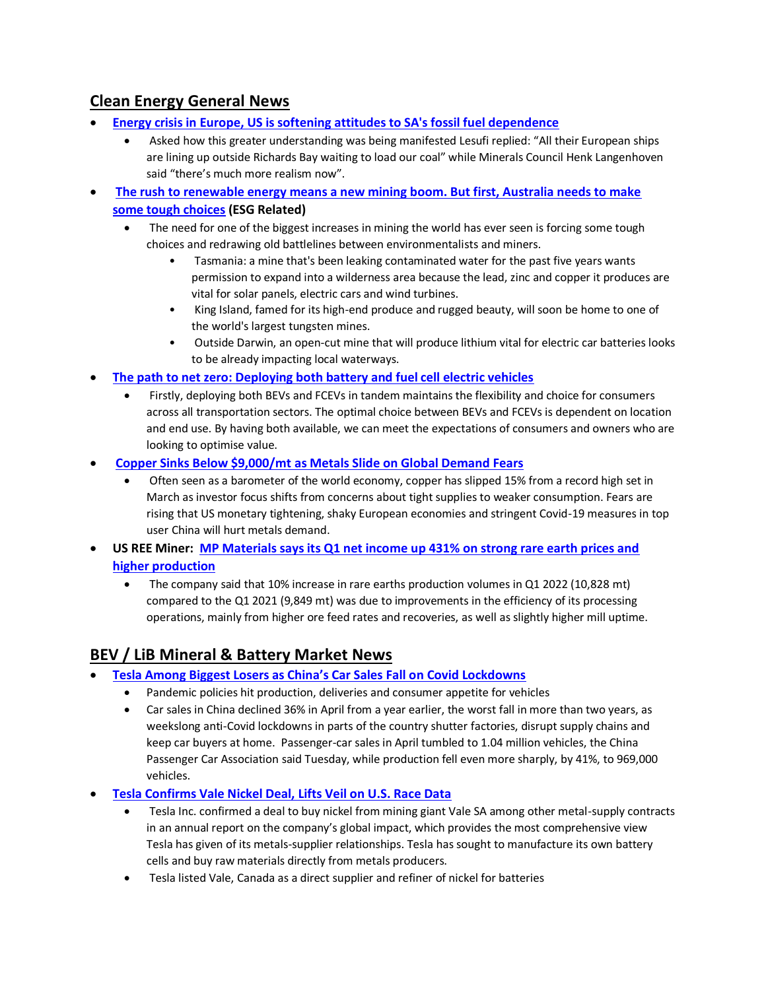# **Clean Energy General News**

- **[Energy crisis in Europe, US is softening attitudes to SA's fossil fuel dependence](https://www.miningmx.com/top-story/49480-energy-crisis-in-europe-us-is-softening-attitudes-to-sas-fossil-fuel-dependence/)**
	- Asked how this greater understanding was being manifested Lesufi replied: "All their European ships are lining up outside Richards Bay waiting to load our coal" while Minerals Council Henk Langenhoven said "there's much more realism now".
- **[The rush to renewable energy means a new mining boom. But first, Australia needs to make](https://www.abc.net.au/news/2022-05-09/renewable-energy-may-require-australian-mining-boom/101034914)  [some tough choices](https://www.abc.net.au/news/2022-05-09/renewable-energy-may-require-australian-mining-boom/101034914) (ESG Related)**
	- The need for one of the biggest increases in mining the world has ever seen is forcing some tough choices and redrawing old battlelines between environmentalists and miners.
		- Tasmania: a mine that's been leaking contaminated water for the past five years wants permission to expand into a wilderness area because the lead, zinc and copper it produces are vital for solar panels, electric cars and wind turbines.
		- King Island, famed for its high-end produce and rugged beauty, will soon be home to one of the world's largest tungsten mines.
		- Outside Darwin, an open-cut mine that will produce lithium vital for electric car batteries looks to be already impacting local waterways.
- **[The path to net zero: Deploying both battery and fuel cell electric vehicles](https://www.innovationnewsnetwork.com/net-zero-battery-fuel-cell-electric-vehicles/21185/)**
	- Firstly, deploying both BEVs and FCEVs in tandem maintains the flexibility and choice for consumers across all transportation sectors. The optimal choice between BEVs and FCEVs is dependent on location and end use. By having both available, we can meet the expectations of consumers and owners who are looking to optimise value.
- **Copper Sinks Below \$9,000/mt [as Metals Slide on Global Demand Fears](https://finance.yahoo.com/news/copper-drops-below-9-000-082520710.html)**
	- Often seen as a barometer of the world economy, copper has slipped 15% from a record high set in March as investor focus shifts from concerns about tight supplies to weaker consumption. Fears are rising that US monetary tightening, shaky European economies and stringent Covid-19 measures in top user China will hurt metals demand.
- **[US](file:///C:/Users/Matth/Documents/Precious%20Metals%20Commodity%20Management%20LLC/Weekly/Roster%20-%20Precious%20Metals%20Commodity%20Management.xlsx) REE Miner: [MP Materials says its Q1 net income up 431% on strong rare earth prices and](https://www.kitco.com/news/2022-05-06/MP-Materials-says-its-Q1-net-income-up-431-on-strong-rare-earth-prices-and-higher-production.html)  [higher production](https://www.kitco.com/news/2022-05-06/MP-Materials-says-its-Q1-net-income-up-431-on-strong-rare-earth-prices-and-higher-production.html)**
	- The company said that 10% increase in rare earths production volumes in Q1 2022 (10,828 mt) compared to the Q1 2021 (9,849 mt) was due to improvements in the efficiency of its processing operations, mainly from higher ore feed rates and recoveries, as well as slightly higher mill uptime.

# **BEV / LiB Mineral & Battery Market News**

- **[Tesla Among Biggest Losers as China's Car Sales Fall on Covid Lockdowns](https://www.wsj.com/articles/tesla-among-biggest-losers-as-chinas-car-sales-fall-on-covid-lockdowns-11652181998)**
	- Pandemic policies hit production, deliveries and consumer appetite for vehicles
	- Car sales in China declined 36% in April from a year earlier, the worst fall in more than two years, as weekslong anti-Covid lockdowns in parts of the country shutter factories, disrupt supply chains and keep car buyers at home. Passenger-car sales in April tumbled to 1.04 million vehicles, the China Passenger Car Association said Tuesday, while production fell even more sharply, by 41%, to 969,000 vehicles.
- **[Tesla Confirms Vale Nickel Deal, Lifts Veil on U.S. Race Data](https://www.bloomberg.com/news/articles/2022-05-06/tesla-confirms-deal-with-brazil-s-vale-details-u-s-race-data)**
	- Tesla Inc. confirmed a deal to buy nickel from mining giant Vale SA among other metal-supply contracts in an annual report on the company's global impact, which provides the most comprehensive view Tesla has given of its metals-supplier relationships. Tesla has sought to manufacture its own battery cells and buy raw materials directly from metals producers.
	- Tesla listed Vale, Canada as a direct supplier and refiner of nickel for batteries